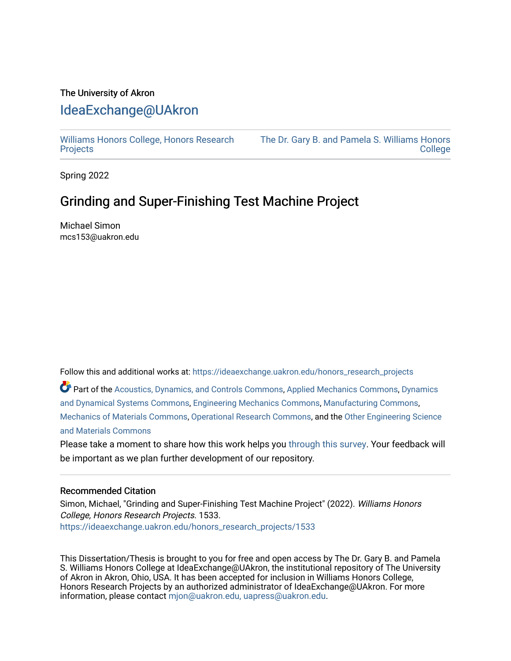#### The University of Akron [IdeaExchange@UAkron](https://ideaexchange.uakron.edu/)

[Williams Honors College, Honors Research](https://ideaexchange.uakron.edu/honors_research_projects)  **[Projects](https://ideaexchange.uakron.edu/honors_research_projects)** 

[The Dr. Gary B. and Pamela S. Williams Honors](https://ideaexchange.uakron.edu/honorscollege_ideas)  **College** 

Spring 2022

#### Grinding and Super-Finishing Test Machine Project

Michael Simon mcs153@uakron.edu

Follow this and additional works at: [https://ideaexchange.uakron.edu/honors\\_research\\_projects](https://ideaexchange.uakron.edu/honors_research_projects?utm_source=ideaexchange.uakron.edu%2Fhonors_research_projects%2F1533&utm_medium=PDF&utm_campaign=PDFCoverPages) 

Part of the [Acoustics, Dynamics, and Controls Commons](http://network.bepress.com/hgg/discipline/294?utm_source=ideaexchange.uakron.edu%2Fhonors_research_projects%2F1533&utm_medium=PDF&utm_campaign=PDFCoverPages), [Applied Mechanics Commons,](http://network.bepress.com/hgg/discipline/295?utm_source=ideaexchange.uakron.edu%2Fhonors_research_projects%2F1533&utm_medium=PDF&utm_campaign=PDFCoverPages) [Dynamics](http://network.bepress.com/hgg/discipline/281?utm_source=ideaexchange.uakron.edu%2Fhonors_research_projects%2F1533&utm_medium=PDF&utm_campaign=PDFCoverPages) [and Dynamical Systems Commons,](http://network.bepress.com/hgg/discipline/281?utm_source=ideaexchange.uakron.edu%2Fhonors_research_projects%2F1533&utm_medium=PDF&utm_campaign=PDFCoverPages) [Engineering Mechanics Commons](http://network.bepress.com/hgg/discipline/280?utm_source=ideaexchange.uakron.edu%2Fhonors_research_projects%2F1533&utm_medium=PDF&utm_campaign=PDFCoverPages), [Manufacturing Commons](http://network.bepress.com/hgg/discipline/301?utm_source=ideaexchange.uakron.edu%2Fhonors_research_projects%2F1533&utm_medium=PDF&utm_campaign=PDFCoverPages), [Mechanics of Materials Commons,](http://network.bepress.com/hgg/discipline/283?utm_source=ideaexchange.uakron.edu%2Fhonors_research_projects%2F1533&utm_medium=PDF&utm_campaign=PDFCoverPages) [Operational Research Commons,](http://network.bepress.com/hgg/discipline/308?utm_source=ideaexchange.uakron.edu%2Fhonors_research_projects%2F1533&utm_medium=PDF&utm_campaign=PDFCoverPages) and the [Other Engineering Science](http://network.bepress.com/hgg/discipline/284?utm_source=ideaexchange.uakron.edu%2Fhonors_research_projects%2F1533&utm_medium=PDF&utm_campaign=PDFCoverPages) [and Materials Commons](http://network.bepress.com/hgg/discipline/284?utm_source=ideaexchange.uakron.edu%2Fhonors_research_projects%2F1533&utm_medium=PDF&utm_campaign=PDFCoverPages)

Please take a moment to share how this work helps you [through this survey](http://survey.az1.qualtrics.com/SE/?SID=SV_eEVH54oiCbOw05f&URL=https://ideaexchange.uakron.edu/honors_research_projects/1533). Your feedback will be important as we plan further development of our repository.

#### Recommended Citation

Simon, Michael, "Grinding and Super-Finishing Test Machine Project" (2022). Williams Honors College, Honors Research Projects. 1533. [https://ideaexchange.uakron.edu/honors\\_research\\_projects/1533](https://ideaexchange.uakron.edu/honors_research_projects/1533?utm_source=ideaexchange.uakron.edu%2Fhonors_research_projects%2F1533&utm_medium=PDF&utm_campaign=PDFCoverPages) 

This Dissertation/Thesis is brought to you for free and open access by The Dr. Gary B. and Pamela S. Williams Honors College at IdeaExchange@UAkron, the institutional repository of The University of Akron in Akron, Ohio, USA. It has been accepted for inclusion in Williams Honors College, Honors Research Projects by an authorized administrator of IdeaExchange@UAkron. For more information, please contact [mjon@uakron.edu, uapress@uakron.edu.](mailto:mjon@uakron.edu,%20uapress@uakron.edu)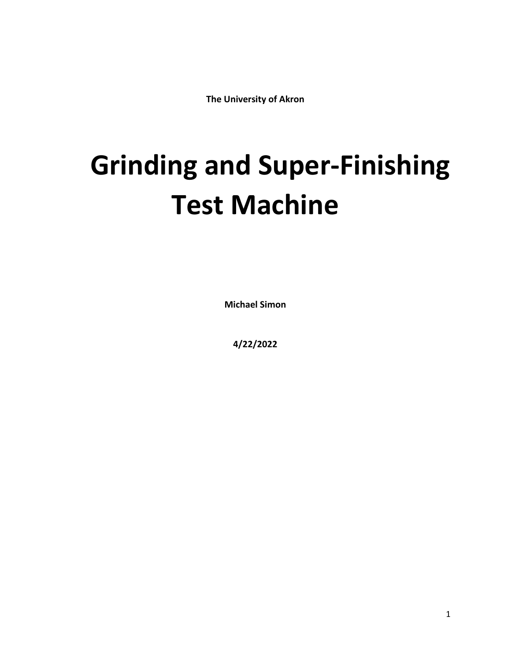**The University of Akron**

# **Grinding and Super-Finishing Test Machine**

**Michael Simon**

**4/22/2022**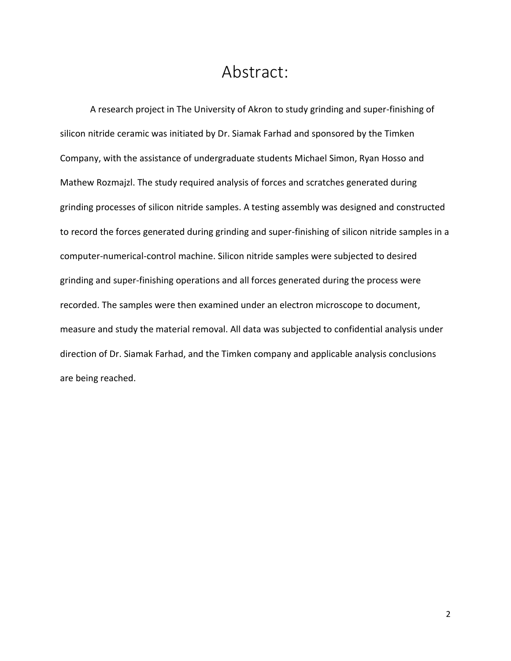#### Abstract:

<span id="page-2-0"></span>A research project in The University of Akron to study grinding and super-finishing of silicon nitride ceramic was initiated by Dr. Siamak Farhad and sponsored by the Timken Company, with the assistance of undergraduate students Michael Simon, Ryan Hosso and Mathew Rozmajzl. The study required analysis of forces and scratches generated during grinding processes of silicon nitride samples. A testing assembly was designed and constructed to record the forces generated during grinding and super-finishing of silicon nitride samples in a computer-numerical-control machine. Silicon nitride samples were subjected to desired grinding and super-finishing operations and all forces generated during the process were recorded. The samples were then examined under an electron microscope to document, measure and study the material removal. All data was subjected to confidential analysis under direction of Dr. Siamak Farhad, and the Timken company and applicable analysis conclusions are being reached.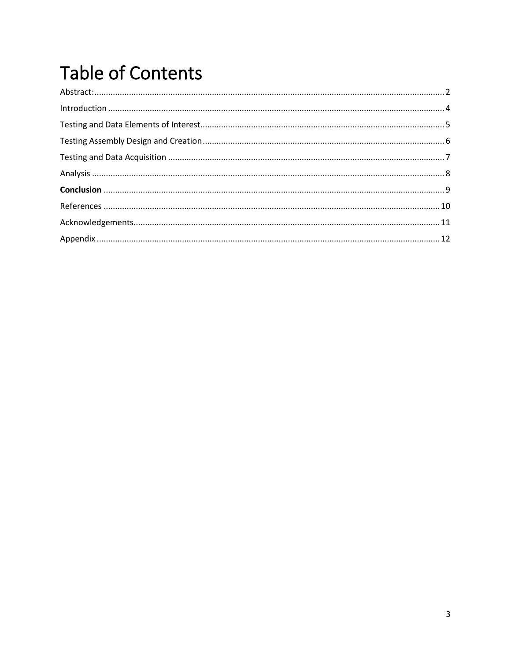# **Table of Contents**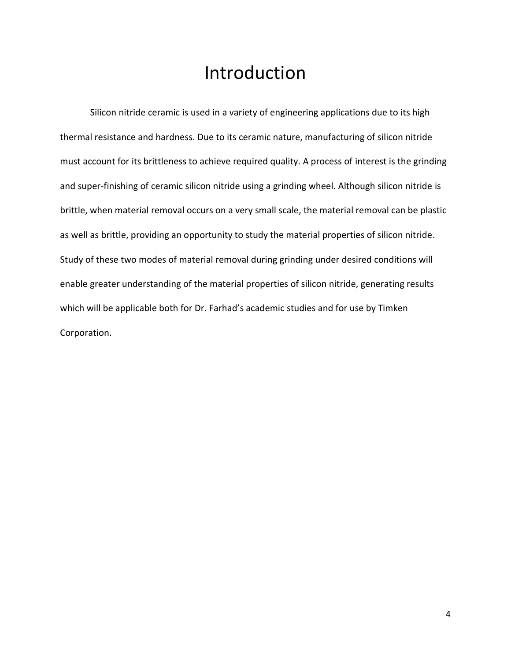### Introduction

<span id="page-4-0"></span>Silicon nitride ceramic is used in a variety of engineering applications due to its high thermal resistance and hardness. Due to its ceramic nature, manufacturing of silicon nitride must account for its brittleness to achieve required quality. A process of interest is the grinding and super-finishing of ceramic silicon nitride using a grinding wheel. Although silicon nitride is brittle, when material removal occurs on a very small scale, the material removal can be plastic as well as brittle, providing an opportunity to study the material properties of silicon nitride. Study of these two modes of material removal during grinding under desired conditions will enable greater understanding of the material properties of silicon nitride, generating results which will be applicable both for Dr. Farhad's academic studies and for use by Timken Corporation.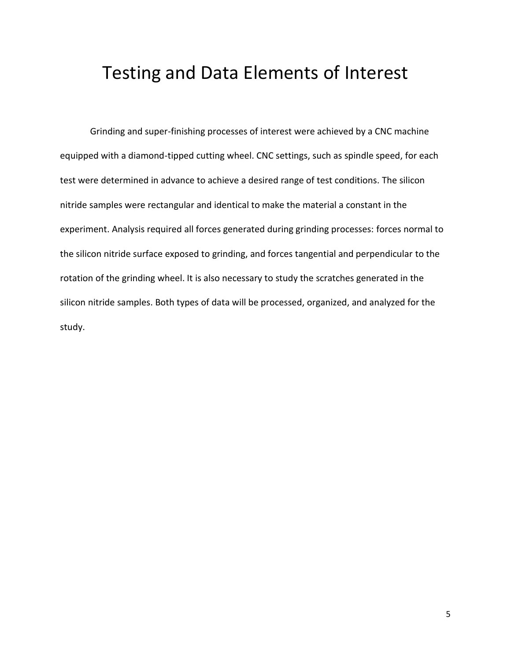#### <span id="page-5-0"></span>Testing and Data Elements of Interest

Grinding and super-finishing processes of interest were achieved by a CNC machine equipped with a diamond-tipped cutting wheel. CNC settings, such as spindle speed, for each test were determined in advance to achieve a desired range of test conditions. The silicon nitride samples were rectangular and identical to make the material a constant in the experiment. Analysis required all forces generated during grinding processes: forces normal to the silicon nitride surface exposed to grinding, and forces tangential and perpendicular to the rotation of the grinding wheel. It is also necessary to study the scratches generated in the silicon nitride samples. Both types of data will be processed, organized, and analyzed for the study.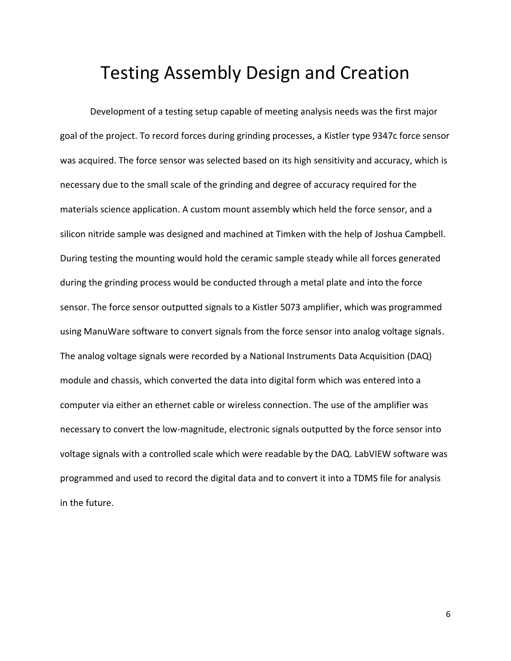#### <span id="page-6-0"></span>Testing Assembly Design and Creation

Development of a testing setup capable of meeting analysis needs was the first major goal of the project. To record forces during grinding processes, a Kistler type 9347c force sensor was acquired. The force sensor was selected based on its high sensitivity and accuracy, which is necessary due to the small scale of the grinding and degree of accuracy required for the materials science application. A custom mount assembly which held the force sensor, and a silicon nitride sample was designed and machined at Timken with the help of Joshua Campbell. During testing the mounting would hold the ceramic sample steady while all forces generated during the grinding process would be conducted through a metal plate and into the force sensor. The force sensor outputted signals to a Kistler 5073 amplifier, which was programmed using ManuWare software to convert signals from the force sensor into analog voltage signals. The analog voltage signals were recorded by a National Instruments Data Acquisition (DAQ) module and chassis, which converted the data into digital form which was entered into a computer via either an ethernet cable or wireless connection. The use of the amplifier was necessary to convert the low-magnitude, electronic signals outputted by the force sensor into voltage signals with a controlled scale which were readable by the DAQ. LabVIEW software was programmed and used to record the digital data and to convert it into a TDMS file for analysis in the future.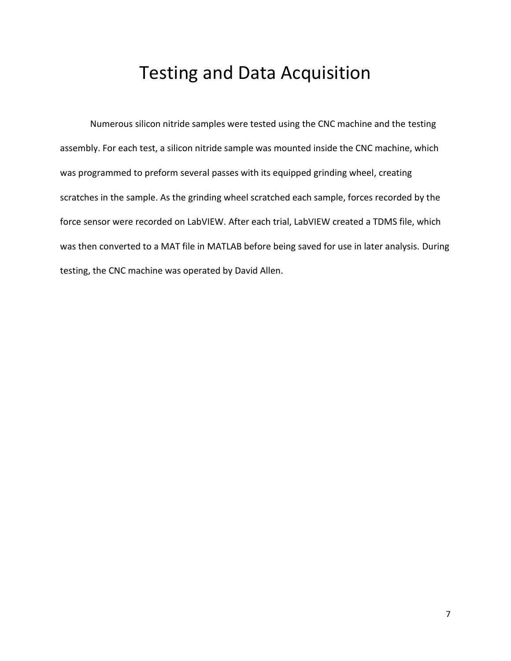## Testing and Data Acquisition

<span id="page-7-0"></span>Numerous silicon nitride samples were tested using the CNC machine and the testing assembly. For each test, a silicon nitride sample was mounted inside the CNC machine, which was programmed to preform several passes with its equipped grinding wheel, creating scratches in the sample. As the grinding wheel scratched each sample, forces recorded by the force sensor were recorded on LabVIEW. After each trial, LabVIEW created a TDMS file, which was then converted to a MAT file in MATLAB before being saved for use in later analysis. During testing, the CNC machine was operated by David Allen.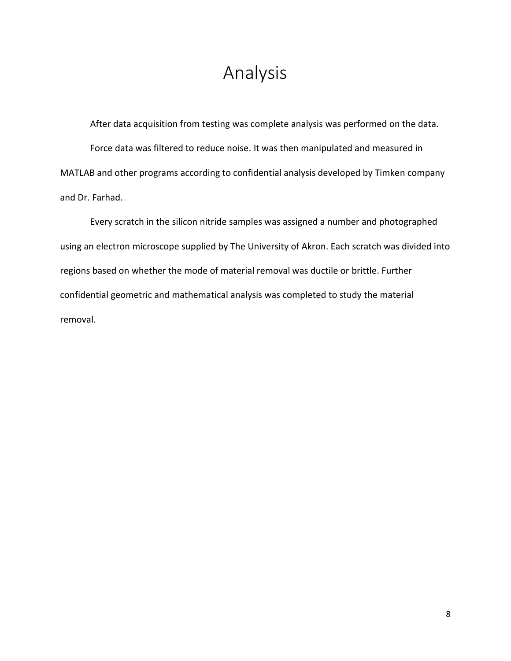### Analysis

<span id="page-8-0"></span>After data acquisition from testing was complete analysis was performed on the data. Force data was filtered to reduce noise. It was then manipulated and measured in MATLAB and other programs according to confidential analysis developed by Timken company and Dr. Farhad.

Every scratch in the silicon nitride samples was assigned a number and photographed using an electron microscope supplied by The University of Akron. Each scratch was divided into regions based on whether the mode of material removal was ductile or brittle. Further confidential geometric and mathematical analysis was completed to study the material removal.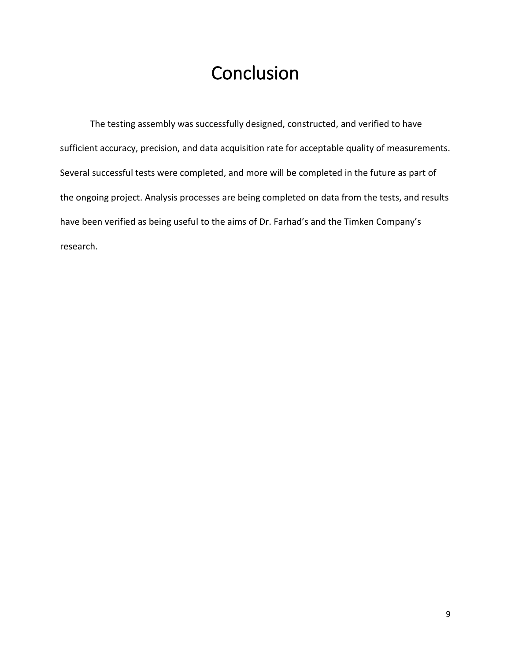# **Conclusion**

<span id="page-9-0"></span>The testing assembly was successfully designed, constructed, and verified to have sufficient accuracy, precision, and data acquisition rate for acceptable quality of measurements. Several successful tests were completed, and more will be completed in the future as part of the ongoing project. Analysis processes are being completed on data from the tests, and results have been verified as being useful to the aims of Dr. Farhad's and the Timken Company's research.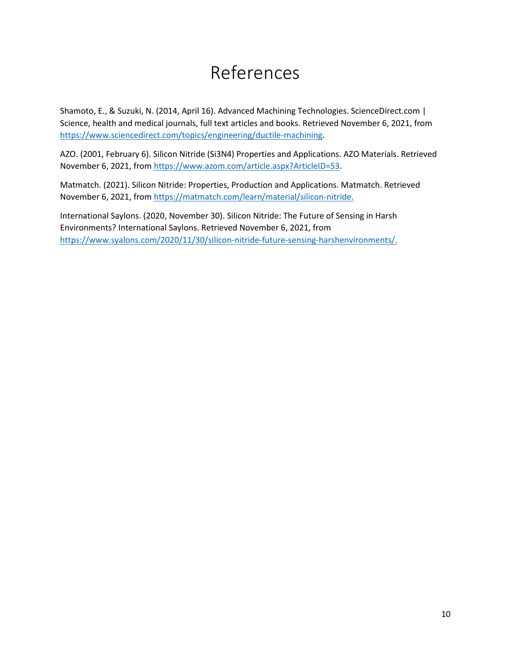# References

<span id="page-10-0"></span>Shamoto, E., & Suzuki, N. (2014, April 16). Advanced Machining Technologies. ScienceDirect.com | Science, health and medical journals, full text articles and books. Retrieved November 6, 2021, from [https://www.sciencedirect.com/topics/engineering/ductile-machining.](https://www.sciencedirect.com/topics/engineering/ductile-machining)

AZO. (2001, February 6). Silicon Nitride (Si3N4) Properties and Applications. AZO Materials. Retrieved November 6, 2021, from [https://www.azom.com/article.aspx?ArticleID=53.](https://www.azom.com/article.aspx?ArticleID=53)

Matmatch. (2021). Silicon Nitride: Properties, Production and Applications. Matmatch. Retrieved November 6, 2021, from<https://matmatch.com/learn/material/silicon-nitride.>

International Saylons. (2020, November 30). Silicon Nitride: The Future of Sensing in Harsh Environments? International Saylons. Retrieved November 6, 2021, from [https://www.syalons.com/2020/11/30/silicon-nitride-future-sensing-harshenvironments/.](https://www.syalons.com/2020/11/30/silicon-nitride-future-sensing-harshenvironments/)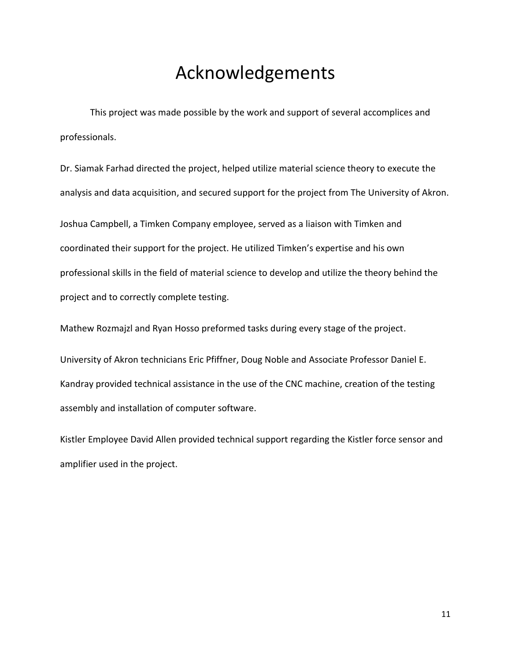### Acknowledgements

<span id="page-11-0"></span>This project was made possible by the work and support of several accomplices and professionals.

Dr. Siamak Farhad directed the project, helped utilize material science theory to execute the analysis and data acquisition, and secured support for the project from The University of Akron.

Joshua Campbell, a Timken Company employee, served as a liaison with Timken and coordinated their support for the project. He utilized Timken's expertise and his own professional skills in the field of material science to develop and utilize the theory behind the project and to correctly complete testing.

Mathew Rozmajzl and Ryan Hosso preformed tasks during every stage of the project.

University of Akron technicians Eric Pfiffner, Doug Noble and Associate Professor Daniel E. Kandray provided technical assistance in the use of the CNC machine, creation of the testing assembly and installation of computer software.

Kistler Employee David Allen provided technical support regarding the Kistler force sensor and amplifier used in the project.